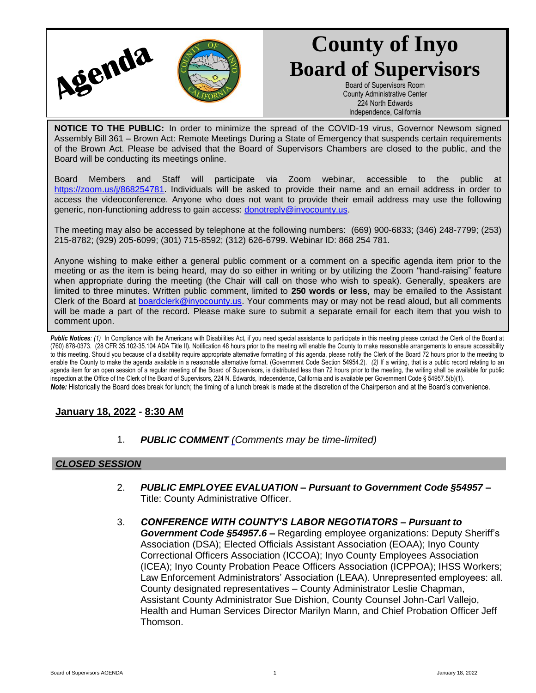

# **County of Inyo Board of Supervisors**

Board of Supervisors Room County Administrative Center 224 North Edwards Independence, California

**NOTICE TO THE PUBLIC:** In order to minimize the spread of the COVID-19 virus, Governor Newsom signed Assembly Bill 361 – Brown Act: Remote Meetings During a State of Emergency that suspends certain requirements of the Brown Act. Please be advised that the Board of Supervisors Chambers are closed to the public, and the Board will be conducting its meetings online.

Board Members and Staff will participate via Zoom webinar, accessible to the public at [https://zoom.us/j/868254781.](https://zoom.us/j/868254781) Individuals will be asked to provide their name and an email address in order to access the videoconference. Anyone who does not want to provide their email address may use the following generic, non-functioning address to gain access: [donotreply@inyocounty.us.](mailto:donotreply@inyocounty.us)

The meeting may also be accessed by telephone at the following numbers: (669) 900-6833; (346) 248-7799; (253) 215-8782; (929) 205-6099; (301) 715-8592; (312) 626-6799. Webinar ID: 868 254 781.

Anyone wishing to make either a general public comment or a comment on a specific agenda item prior to the meeting or as the item is being heard, may do so either in writing or by utilizing the Zoom "hand-raising" feature when appropriate during the meeting (the Chair will call on those who wish to speak). Generally, speakers are limited to three minutes. Written public comment, limited to **250 words or less**, may be emailed to the Assistant Clerk of the Board at [boardclerk@inyocounty.us.](mailto:boardclerk@inyocounty.us) Your comments may or may not be read aloud, but all comments will be made a part of the record. Please make sure to submit a separate email for each item that you wish to comment upon.

Public Notices: (1) In Compliance with the Americans with Disabilities Act, if you need special assistance to participate in this meeting please contact the Clerk of the Board at (760) 878-0373. (28 CFR 35.102-35.104 ADA Title II). Notification 48 hours prior to the meeting will enable the County to make reasonable arrangements to ensure accessibility to this meeting. Should you because of a disability require appropriate alternative formatting of this agenda, please notify the Clerk of the Board 72 hours prior to the meeting to enable the County to make the agenda available in a reasonable alternative format. (Government Code Section 54954.2). *(2)* If a writing, that is a public record relating to an agenda item for an open session of a regular meeting of the Board of Supervisors, is distributed less than 72 hours prior to the meeting, the writing shall be available for public inspection at the Office of the Clerk of the Board of Supervisors, 224 N. Edwards, Independence, California and is available per Government Code § 54957.5(b)(1). *Note:* Historically the Board does break for lunch; the timing of a lunch break is made at the discretion of the Chairperson and at the Board's convenience.

#### **January 18, 2022 - 8:30 AM**

1. *PUBLIC COMMENT [\(C](https://inyococa.v8.civicclerk.com/Meetings/Agenda/ItemFields?id=7609)omments may be time-limited)*

#### *CLOSED SESSION*

- 2. *PUBLIC EMPLOYEE EVALUATION – Pursuant to Government Code §54957 –* Title: County Administrative Officer.
- 3. *CONFERENCE WITH COUNTY'S LABOR NEGOTIATORS – Pursuant to Government Code §54957.6 –* Regarding employee organizations: Deputy Sheriff's Association (DSA); Elected Officials Assistant Association (EOAA); Inyo County Correctional Officers Association (ICCOA); Inyo County Employees Association (ICEA); Inyo County Probation Peace Officers Association (ICPPOA); IHSS Workers; Law Enforcement Administrators' Association (LEAA). Unrepresented employees: all. County designated representatives – County Administrator Leslie Chapman, Assistant County Administrator Sue Dishion, County Counsel John-Carl Vallejo, Health and Human Services Director Marilyn Mann, and Chief Probation Officer Jeff Thomson.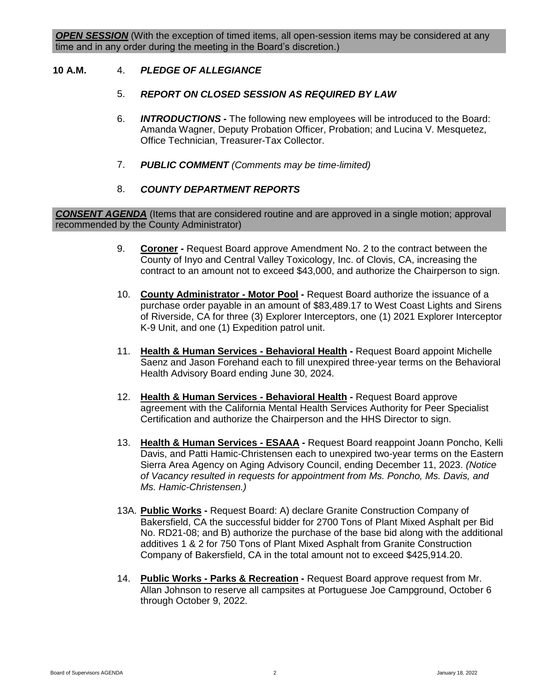#### **10 A.M.** 4. *PLEDGE OF ALLEGIANCE*

#### 5. *REPORT ON CLOSED SESSION AS REQUIRED BY LAW*

- 6. *INTRODUCTIONS -* The following new employees will be introduced to the Board: Amanda Wagner, Deputy Probation Officer, Probation; and Lucina V. Mesquetez, Office Technician, Treasurer-Tax Collector.
- 7. *PUBLIC COMMENT (Comments may be time-limited)*

#### 8. *COUNTY DEPARTMENT REPORTS*

*CONSENT AGENDA* (Items that are considered routine and are approved in a single motion; approval recommended by the County Administrator)

- 9. **Coroner -** Request Board approve Amendment No. 2 to the contract between the County of Inyo and Central Valley Toxicology, Inc. of Clovis, CA, increasing the contract to an amount not to exceed \$43,000, and authorize the Chairperson to sign.
- 10. **County Administrator - Motor Pool -** Request Board authorize the issuance of a purchase order payable in an amount of \$83,489.17 to West Coast Lights and Sirens of Riverside, CA for three (3) Explorer Interceptors, one (1) 2021 Explorer Interceptor K-9 Unit, and one (1) Expedition patrol unit.
- 11. **Health & Human Services - Behavioral Health -** Request Board appoint Michelle Saenz and Jason Forehand each to fill unexpired three-year terms on the Behavioral Health Advisory Board ending June 30, 2024.
- 12. **Health & Human Services - Behavioral Health -** Request Board approve agreement with the California Mental Health Services Authority for Peer Specialist Certification and authorize the Chairperson and the HHS Director to sign.
- 13. **Health & Human Services - ESAAA -** Request Board reappoint Joann Poncho, Kelli Davis, and Patti Hamic-Christensen each to unexpired two-year terms on the Eastern Sierra Area Agency on Aging Advisory Council, ending December 11, 2023. *(Notice of Vacancy resulted in requests for appointment from Ms. Poncho, Ms. Davis, and Ms. Hamic-Christensen.)*
- 13A. **Public Works -** Request Board: A) declare Granite Construction Company of Bakersfield, CA the successful bidder for 2700 Tons of Plant Mixed Asphalt per Bid No. RD21-08; and B) authorize the purchase of the base bid along with the additional additives 1 & 2 for 750 Tons of Plant Mixed Asphalt from Granite Construction Company of Bakersfield, CA in the total amount not to exceed \$425,914.20.
- 14. **Public Works - Parks & Recreation -** Request Board approve request from Mr. Allan Johnson to reserve all campsites at Portuguese Joe Campground, October 6 through October 9, 2022.